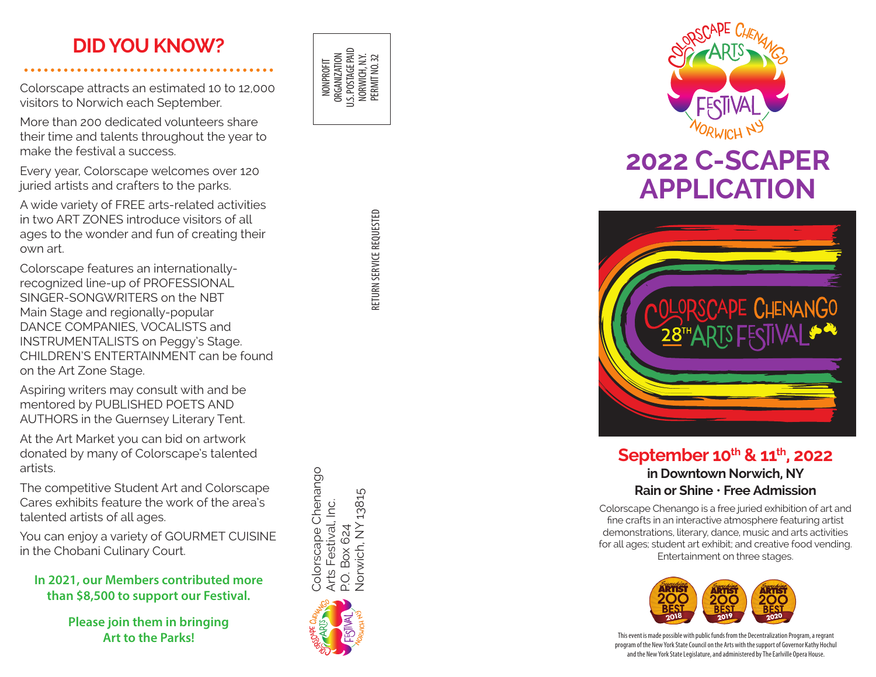# **DID YOU KNOW?**

Colorscape attracts an estimated 10 to 12,000 visitors to Norwich each September.

More than 200 dedicated volunteers share their time and talents throughout the year to make the festival a success.

Every year, Colorscape welcomes over 120 juried artists and crafters to the parks.

A wide variety of FREE arts-related activities in two ART ZONES introduce visitors of all ages to the wonder and fun of creating their own art.

Colorscape features an internationallyrecognized line-up of PROFESSIONAL SINGER-SONGWRITERS on the NBT Main Stage and regionally-popular DANCE COMPANIES, VOCALISTS and INSTRUMENTALISTS on Peggy's Stage. CHILDREN'S ENTERTAINMENT can be found on the Art Zone Stage.

Aspiring writers may consult with and be mentored by PUBLISHED POETS AND AUTHORS in the Guernsey Literary Tent.

At the Art Market you can bid on artwork donated by many of Colorscape's talented artists.

The competitive Student Art and Colorscape Cares exhibits feature the work of the area's talented artists of all ages.

You can enjoy a variety of GOURMET CUISINE in the Chobani Culinary Court.

**In 2021, our Members contributed more than \$8,500 to support our Festival.**

> **Please join them in bringing Art to the Parks!**



RETURN SERVICE REQUESTED RETURN SERVICE REQUESTED

Colorscape Chenango Colorscape Chenango Norwich, NY 13815 Norwich, NY 13815Arts Festival, Inc. Arts Festival, Inc. **P.O. Box 624** P.O. Box 624





# **2022 C-SCAPER APPLICATION**



### September 10<sup>th</sup> & 11<sup>th</sup>, 2022 **in Downtown Norwich, NY Rain or Shine** • **Free Admission**

Colorscape Chenango is a free juried exhibition of art and fine crafts in an interactive atmosphere featuring artist demonstrations, literary, dance, music and arts activities for all ages; student art exhibit; and creative food vending. Entertainment on three stages.



This event is made possible with public funds from the Decentralization Program, a regrant program of the New York State Council on the Arts with the support of Governor Kathy Hochul and the New York State Legislature, and administered by The Earlville Opera House.